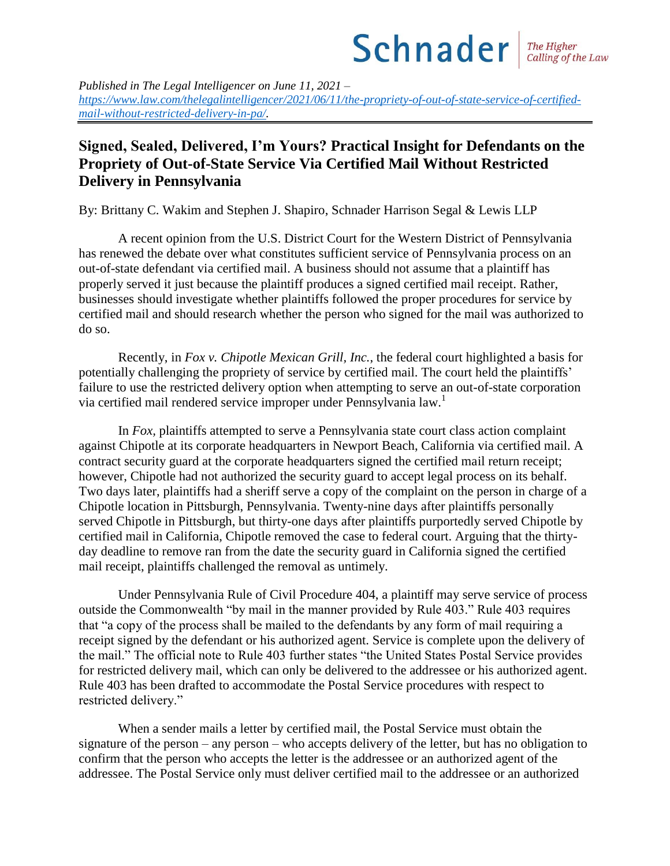## $Schnader$   $\frac{The Higher}{{Calling of the Law}}$

*Published in The Legal Intelligencer on June 11, 2021 – [https://www.law.com/thelegalintelligencer/2021/06/11/the-propriety-of-out-of-state-service-of-certified](https://www.law.com/thelegalintelligencer/2021/06/11/the-propriety-of-out-of-state-service-of-certified-mail-without-restricted-delivery-in-pa/)[mail-without-restricted-delivery-in-pa/.](https://www.law.com/thelegalintelligencer/2021/06/11/the-propriety-of-out-of-state-service-of-certified-mail-without-restricted-delivery-in-pa/)* 

## **Signed, Sealed, Delivered, I'm Yours? Practical Insight for Defendants on the Propriety of Out-of-State Service Via Certified Mail Without Restricted Delivery in Pennsylvania**

By: Brittany C. Wakim and Stephen J. Shapiro, Schnader Harrison Segal & Lewis LLP

A recent opinion from the U.S. District Court for the Western District of Pennsylvania has renewed the debate over what constitutes sufficient service of Pennsylvania process on an out-of-state defendant via certified mail. A business should not assume that a plaintiff has properly served it just because the plaintiff produces a signed certified mail receipt. Rather, businesses should investigate whether plaintiffs followed the proper procedures for service by certified mail and should research whether the person who signed for the mail was authorized to do so.

Recently, in *Fox v. Chipotle Mexican Grill, Inc.*, the federal court highlighted a basis for potentially challenging the propriety of service by certified mail. The court held the plaintiffs' failure to use the restricted delivery option when attempting to serve an out-of-state corporation via certified mail rendered service improper under Pennsylvania law.<sup>1</sup>

In *Fox,* plaintiffs attempted to serve a Pennsylvania state court class action complaint against Chipotle at its corporate headquarters in Newport Beach, California via certified mail. A contract security guard at the corporate headquarters signed the certified mail return receipt; however, Chipotle had not authorized the security guard to accept legal process on its behalf. Two days later, plaintiffs had a sheriff serve a copy of the complaint on the person in charge of a Chipotle location in Pittsburgh, Pennsylvania. Twenty-nine days after plaintiffs personally served Chipotle in Pittsburgh, but thirty-one days after plaintiffs purportedly served Chipotle by certified mail in California, Chipotle removed the case to federal court. Arguing that the thirtyday deadline to remove ran from the date the security guard in California signed the certified mail receipt, plaintiffs challenged the removal as untimely.

Under Pennsylvania Rule of Civil Procedure 404, a plaintiff may serve service of process outside the Commonwealth "by mail in the manner provided by Rule 403." Rule 403 requires that "a copy of the process shall be mailed to the defendants by any form of mail requiring a receipt signed by the defendant or his authorized agent. Service is complete upon the delivery of the mail." The official note to Rule 403 further states "the United States Postal Service provides for restricted delivery mail, which can only be delivered to the addressee or his authorized agent. Rule 403 has been drafted to accommodate the Postal Service procedures with respect to restricted delivery."

When a sender mails a letter by certified mail, the Postal Service must obtain the signature of the person – any person – who accepts delivery of the letter, but has no obligation to confirm that the person who accepts the letter is the addressee or an authorized agent of the addressee. The Postal Service only must deliver certified mail to the addressee or an authorized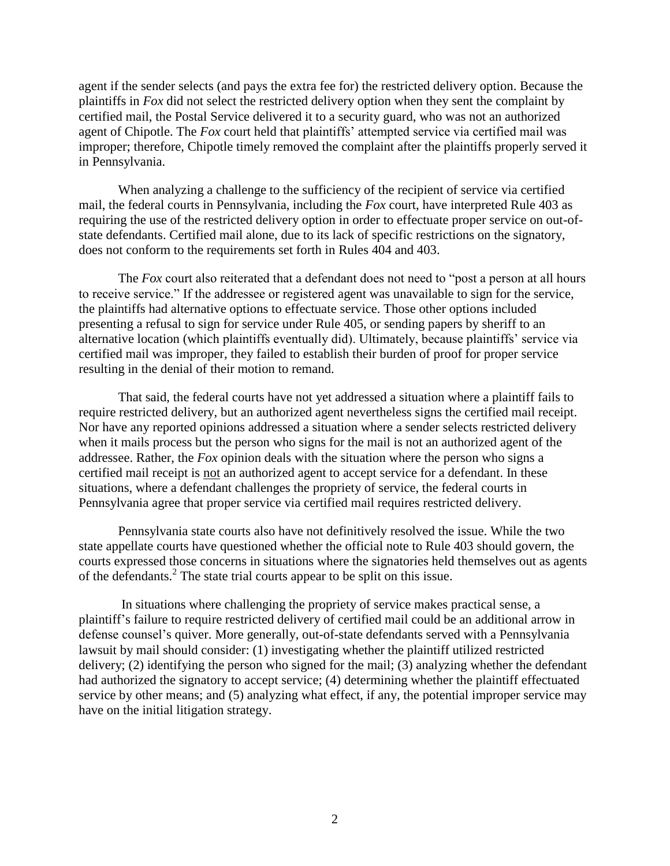agent if the sender selects (and pays the extra fee for) the restricted delivery option. Because the plaintiffs in *Fox* did not select the restricted delivery option when they sent the complaint by certified mail, the Postal Service delivered it to a security guard, who was not an authorized agent of Chipotle. The *Fox* court held that plaintiffs' attempted service via certified mail was improper; therefore, Chipotle timely removed the complaint after the plaintiffs properly served it in Pennsylvania.

When analyzing a challenge to the sufficiency of the recipient of service via certified mail, the federal courts in Pennsylvania, including the *Fox* court, have interpreted Rule 403 as requiring the use of the restricted delivery option in order to effectuate proper service on out-ofstate defendants. Certified mail alone, due to its lack of specific restrictions on the signatory, does not conform to the requirements set forth in Rules 404 and 403.

The *Fox* court also reiterated that a defendant does not need to "post a person at all hours to receive service." If the addressee or registered agent was unavailable to sign for the service, the plaintiffs had alternative options to effectuate service. Those other options included presenting a refusal to sign for service under Rule 405, or sending papers by sheriff to an alternative location (which plaintiffs eventually did). Ultimately, because plaintiffs' service via certified mail was improper, they failed to establish their burden of proof for proper service resulting in the denial of their motion to remand.

That said, the federal courts have not yet addressed a situation where a plaintiff fails to require restricted delivery, but an authorized agent nevertheless signs the certified mail receipt. Nor have any reported opinions addressed a situation where a sender selects restricted delivery when it mails process but the person who signs for the mail is not an authorized agent of the addressee. Rather, the *Fox* opinion deals with the situation where the person who signs a certified mail receipt is not an authorized agent to accept service for a defendant. In these situations, where a defendant challenges the propriety of service, the federal courts in Pennsylvania agree that proper service via certified mail requires restricted delivery.

Pennsylvania state courts also have not definitively resolved the issue. While the two state appellate courts have questioned whether the official note to Rule 403 should govern, the courts expressed those concerns in situations where the signatories held themselves out as agents of the defendants.<sup>2</sup> The state trial courts appear to be split on this issue.

In situations where challenging the propriety of service makes practical sense, a plaintiff's failure to require restricted delivery of certified mail could be an additional arrow in defense counsel's quiver. More generally, out-of-state defendants served with a Pennsylvania lawsuit by mail should consider: (1) investigating whether the plaintiff utilized restricted delivery; (2) identifying the person who signed for the mail; (3) analyzing whether the defendant had authorized the signatory to accept service; (4) determining whether the plaintiff effectuated service by other means; and (5) analyzing what effect, if any, the potential improper service may have on the initial litigation strategy.